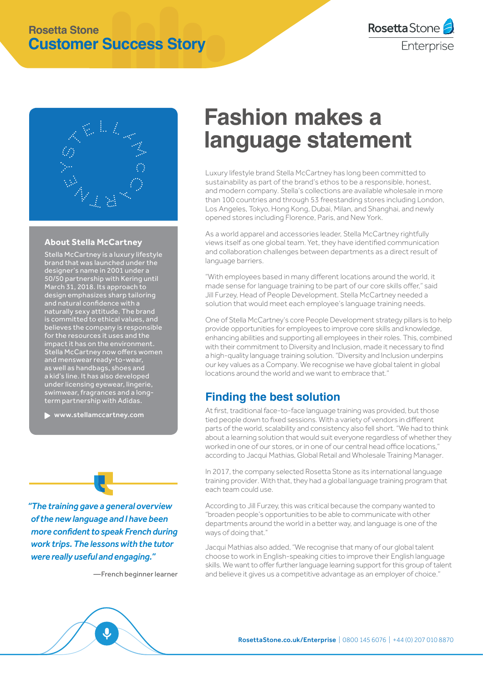## **Rosetta Stone Customer Success Story**



#### **About Stella McCartney**

Stella McCartney is a luxury lifestyle brand that was launched under the designer's name in 2001 under a 50/50 partnership with Kering until March 31, 2018. Its approach to design emphasizes sharp tailoring and natural confidence with a naturally sexy attitude. The brand is committed to ethical values, and believes the company is responsible for the resources it uses and the impact it has on the environment. Stella McCartney now offers women and menswear ready-to-wear, as well as handbags, shoes and a kid's line. It has also developed under licensing eyewear, lingerie, swimwear, fragrances and a longterm partnership with Adidas.

www.stellamccartney.com

*"The training gave a general overview of the new language and I have been more confident to speak French during work trips. The lessons with the tutor were really useful and engaging."*

—French beginner learner

# **Fashion makes a language statement**

Luxury lifestyle brand Stella McCartney has long been committed to sustainability as part of the brand's ethos to be a responsible, honest, and modern company. Stella's collections are available wholesale in more than 100 countries and through 53 freestanding stores including London, Los Angeles, Tokyo, Hong Kong, Dubai, Milan, and Shanghai, and newly opened stores including Florence, Paris, and New York.

As a world apparel and accessories leader, Stella McCartney rightfully views itself as one global team. Yet, they have identified communication and collaboration challenges between departments as a direct result of language barriers.

"With employees based in many different locations around the world, it made sense for language training to be part of our core skills offer," said Jill Furzey, Head of People Development. Stella McCartney needed a solution that would meet each employee's language training needs.

One of Stella McCartney's core People Development strategy pillars is to help provide opportunities for employees to improve core skills and knowledge, enhancing abilities and supporting all employees in their roles. This, combined with their commitment to Diversity and Inclusion, made it necessary to find a high-quality language training solution. "Diversity and Inclusion underpins our key values as a Company. We recognise we have global talent in global locations around the world and we want to embrace that."

## **Finding the best solution**

At first, traditional face-to-face language training was provided, but those tied people down to fixed sessions. With a variety of vendors in different parts of the world, scalability and consistency also fell short. "We had to think about a learning solution that would suit everyone regardless of whether they worked in one of our stores, or in one of our central head office locations. according to Jacqui Mathias, Global Retail and Wholesale Training Manager.

In 2017, the company selected Rosetta Stone as its international language training provider. With that, they had a global language training program that each team could use.

According to Jill Furzey, this was critical because the company wanted to "broaden people's opportunities to be able to communicate with other departments around the world in a better way, and language is one of the ways of doing that."

Jacqui Mathias also added, "We recognise that many of our global talent choose to work in English-speaking cities to improve their English language skills. We want to offer further language learning support for this group of talent and believe it gives us a competitive advantage as an employer of choice."